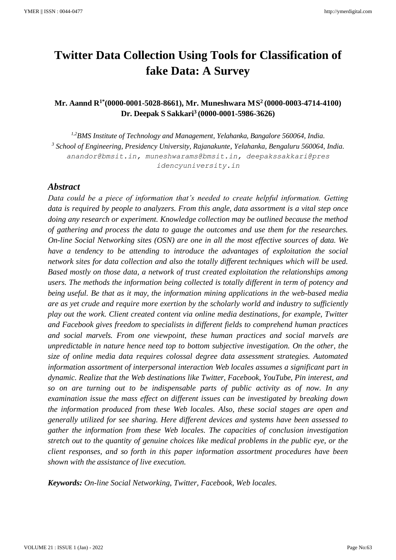# **Twitter Data Collection Using Tools for Classification of fake Data: A Survey**

# **Mr. Aannd R1\*(0000-0001-5028-8661), Mr. Muneshwara MS 2 [\(0000-0003-4714-4](https://orcid.org/0000-0001-5986-3626?lang=en)100) Dr. Deepak S Sakkari<sup>3</sup> [\(0000-0001-5986-3626\)](https://orcid.org/0000-0001-5986-3626?lang=en)**

*1,2BMS Institute of Technology and Management, Yelahanka, Bangalore 560064, India. 3 School of Engineering, Presidency University, Rajanakunte, Yelahanka, Bengaluru 560064, India. anandor@bmsit.in, muneshwarams@bmsit.in, deepakssakkari@pres idencyuniversity.in*

## *Abstract*

*Data could be a piece of information that's needed to create helpful information. Getting data is required by people to analyzers. From this angle, data assortment is a vital step once doing any research or experiment. Knowledge collection may be outlined because the method of gathering and process the data to gauge the outcomes and use them for the researches. On-line Social Networking sites (OSN) are one in all the most effective sources of data. We have a tendency to be attending to introduce the advantages of exploitation the social network sites for data collection and also the totally different techniques which will be used. Based mostly on those data, a network of trust created exploitation the relationships among users. The methods the information being collected is totally different in term of potency and being useful. Be that as it may, the information mining applications in the web-based media are as yet crude and require more exertion by the scholarly world and industry to sufficiently play out the work. Client created content via online media destinations, for example, Twitter and Facebook gives freedom to specialists in different fields to comprehend human practices and social marvels. From one viewpoint, these human practices and social marvels are unpredictable in nature hence need top to bottom subjective investigation. On the other, the size of online media data requires colossal degree data assessment strategies. Automated information assortment of interpersonal interaction Web locales assumes a significant part in dynamic. Realize that the Web destinations like Twitter, Facebook, YouTube, Pin interest, and so on are turning out to be indispensable parts of public activity as of now. In any examination issue the mass effect on different issues can be investigated by breaking down the information produced from these Web locales. Also, these social stages are open and generally utilized for see sharing. Here different devices and systems have been assessed to gather the information from these Web locales. The capacities of conclusion investigation stretch out to the quantity of genuine choices like medical problems in the public eye, or the client responses, and so forth in this paper information assortment procedures have been shown with the assistance of live execution.*

*Keywords: On-line Social Networking, Twitter, Facebook, Web locales.*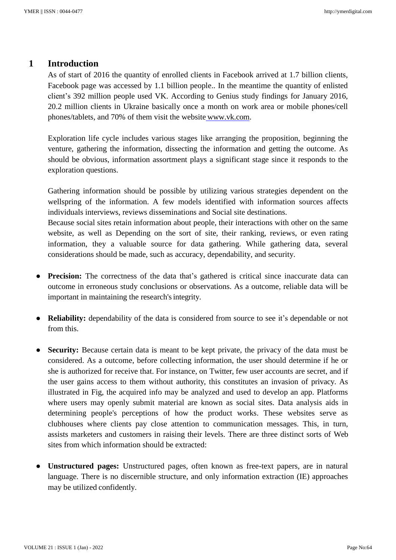## **1 Introduction**

As of start of 2016 the quantity of enrolled clients in Facebook arrived at 1.7 billion clients, Facebook page was accessed by 1.1 billion people.. In the meantime the quantity of enlisted client's 392 million people used VK. According to Genius study findings for January 2016, 20.2 million clients in Ukraine basically once a month on work area or mobile phones/cell phones/tablets, and 70% of them visit the website www.vk.com.

Exploration life cycle includes various stages like arranging the proposition, beginning the venture, gathering the information, dissecting the information and getting the outcome. As should be obvious, information assortment plays a significant stage since it responds to the exploration questions.

Gathering information should be possible by utilizing various strategies dependent on the wellspring of the information. A few models identified with information sources affects individuals interviews, reviews disseminations and Social site destinations. Because social sites retain information about people, their interactions with other on the same website, as well as Depending on the sort of site, their ranking, reviews, or even rating information, they a valuable source for data gathering. While gathering data, several

● **Precision:** The correctness of the data that's gathered is critical since inaccurate data can outcome in erroneous study conclusions or observations. As a outcome, reliable data will be important in maintaining the research's integrity.

considerations should be made, such as accuracy, dependability, and security.

- **Reliability:** dependability of the data is considered from source to see it's dependable or not from this.
- **Security:** Because certain data is meant to be kept private, the privacy of the data must be considered. As a outcome, before collecting information, the user should determine if he or she is authorized for receive that. For instance, on Twitter, few user accounts are secret, and if the user gains access to them without authority, this constitutes an invasion of privacy. As illustrated in Fig, the acquired info may be analyzed and used to develop an app. Platforms where users may openly submit material are known as social sites. Data analysis aids in determining people's perceptions of how the product works. These websites serve as clubhouses where clients pay close attention to communication messages. This, in turn, assists marketers and customers in raising their levels. There are three distinct sorts of Web sites from which information should be extracted:
- **Unstructured pages:** Unstructured pages, often known as free-text papers, are in natural language. There is no discernible structure, and only information extraction (IE) approaches may be utilized confidently.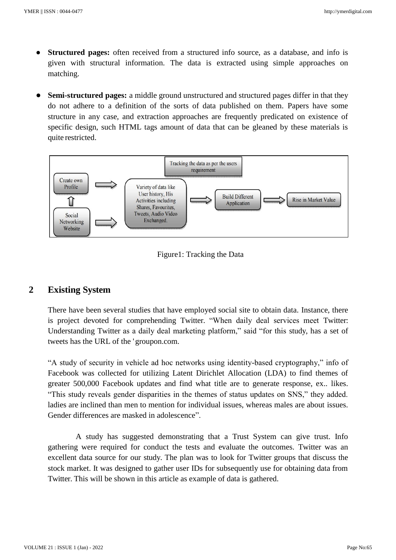- **Structured pages:** often received from a structured info source, as a database, and info is given with structural information. The data is extracted using simple approaches on matching.
- **Semi-structured pages:** a middle ground unstructured and structured pages differ in that they do not adhere to a definition of the sorts of data published on them. Papers have some structure in any case, and extraction approaches are frequently predicated on existence of specific design, such HTML tags amount of data that can be gleaned by these materials is quite restricted.





## **2 Existing System**

There have been several studies that have employed social site to obtain data. Instance, there is project devoted for comprehending Twitter. "When daily deal services meet Twitter: Understanding Twitter as a daily deal marketing platform," said "for this study, has a set of tweets has the URL of the 'groupon.com.

"A study of security in vehicle ad hoc networks using identity-based cryptography," info of Facebook was collected for utilizing Latent Dirichlet Allocation (LDA) to find themes of greater 500,000 Facebook updates and find what title are to generate response, ex.. likes. "This study reveals gender disparities in the themes of status updates on SNS," they added. ladies are inclined than men to mention for individual issues, whereas males are about issues. Gender differences are masked in adolescence".

A study has suggested demonstrating that a Trust System can give trust. Info gathering were required for conduct the tests and evaluate the outcomes. Twitter was an excellent data source for our study. The plan was to look for Twitter groups that discuss the stock market. It was designed to gather user IDs for subsequently use for obtaining data from Twitter. This will be shown in this article as example of data is gathered.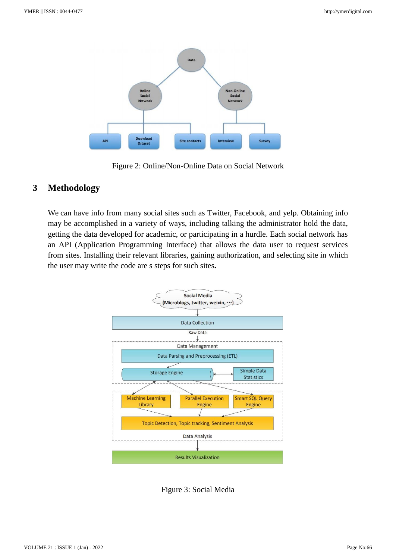

Figure 2: Online/Non-Online Data on Social Network

# **3 Methodology**

We can have info from many social sites such as Twitter, Facebook, and yelp. Obtaining info may be accomplished in a variety of ways, including talking the administrator hold the data, getting the data developed for academic, or participating in a hurdle. Each social network has an API (Application Programming Interface) that allows the data user to request services from sites. Installing their relevant libraries, gaining authorization, and selecting site in which the user may write the code are s steps for such sites**.**



Figure 3: Social Media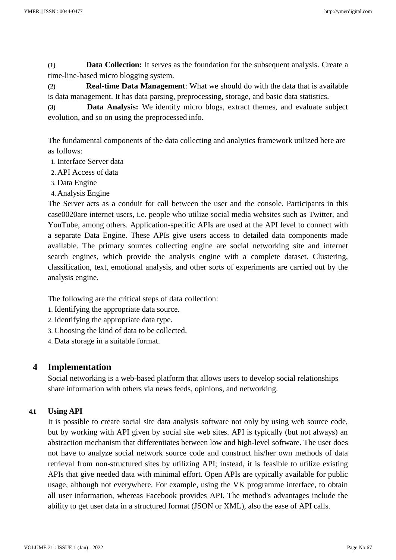**(1) Data Collection:** It serves as the foundation for the subsequent analysis. Create a time-line-based micro blogging system.

**(2) Real-time Data Management**: What we should do with the data that is available is data management. It has data parsing, preprocessing, storage, and basic data statistics.

**(3) Data Analysis:** We identify micro blogs, extract themes, and evaluate subject evolution, and so on using the preprocessed info.

The fundamental components of the data collecting and analytics framework utilized here are as follows:

- 1. Interface Server data
- 2. API Access of data
- 3. Data Engine
- 4. Analysis Engine

The Server acts as a conduit for call between the user and the console. Participants in this case0020are internet users, i.e. people who utilize social media websites such as Twitter, and YouTube, among others. Application-specific APIs are used at the API level to connect with a separate Data Engine. These APIs give users access to detailed data components made available. The primary sources collecting engine are social networking site and internet search engines, which provide the analysis engine with a complete dataset. Clustering, classification, text, emotional analysis, and other sorts of experiments are carried out by the analysis engine.

The following are the critical steps of data collection:

- 1. Identifying the appropriate data source.
- 2. Identifying the appropriate data type.
- 3. Choosing the kind of data to be collected.
- 4. Data storage in a suitable format.

# **4 Implementation**

Social networking is a web-based platform that allows users to develop social relationships share information with others via news feeds, opinions, and networking.

## **4.1 Using API**

It is possible to create social site data analysis software not only by using web source code, but by working with API given by social site web sites. API is typically (but not always) an abstraction mechanism that differentiates between low and high-level software. The user does not have to analyze social network source code and construct his/her own methods of data retrieval from non-structured sites by utilizing API; instead, it is feasible to utilize existing APIs that give needed data with minimal effort. Open APIs are typically available for public usage, although not everywhere. For example, using the VK programme interface, to obtain all user information, whereas Facebook provides API. The method's advantages include the ability to get user data in a structured format (JSON or XML), also the ease of API calls.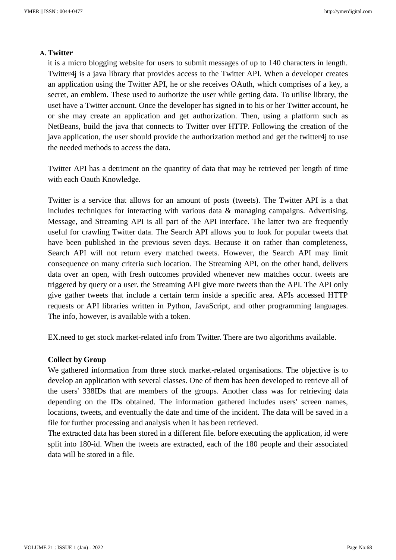#### **A. Twitter**

it is a micro blogging website for users to submit messages of up to 140 characters in length. Twitter4j is a java library that provides access to the Twitter API. When a developer creates an application using the Twitter API, he or she receives OAuth, which comprises of a key, a secret, an emblem. These used to authorize the user while getting data. To utilise library, the uset have a Twitter account. Once the developer has signed in to his or her Twitter account, he or she may create an application and get authorization. Then, using a platform such as NetBeans, build the java that connects to Twitter over HTTP. Following the creation of the java application, the user should provide the authorization method and get the twitter4j to use the needed methods to access the data.

Twitter API has a detriment on the quantity of data that may be retrieved per length of time with each Oauth Knowledge.

Twitter is a service that allows for an amount of posts (tweets). The Twitter API is a that includes techniques for interacting with various data & managing campaigns. Advertising, Message, and Streaming API is all part of the API interface. The latter two are frequently useful for crawling Twitter data. The Search API allows you to look for popular tweets that have been published in the previous seven days. Because it on rather than completeness, Search API will not return every matched tweets. However, the Search API may limit consequence on many criteria such location. The Streaming API, on the other hand, delivers data over an open, with fresh outcomes provided whenever new matches occur. tweets are triggered by query or a user. the Streaming API give more tweets than the API. The API only give gather tweets that include a certain term inside a specific area. APIs accessed HTTP requests or API libraries written in Python, JavaScript, and other programming languages. The info, however, is available with a token.

EX.need to get stock market-related info from Twitter. There are two algorithms available.

#### **Collect by Group**

We gathered information from three stock market-related organisations. The objective is to develop an application with several classes. One of them has been developed to retrieve all of the users' 338IDs that are members of the groups. Another class was for retrieving data depending on the IDs obtained. The information gathered includes users' screen names, locations, tweets, and eventually the date and time of the incident. The data will be saved in a file for further processing and analysis when it has been retrieved.

The extracted data has been stored in a different file. before executing the application, id were split into 180-id. When the tweets are extracted, each of the 180 people and their associated data will be stored in a file.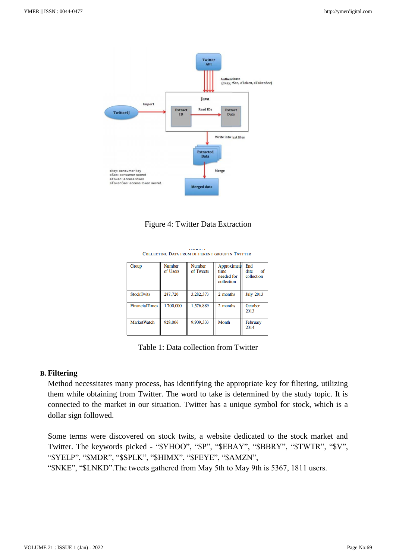



| Group              | <b>Number</b><br>of Users | <b>Number</b><br>of Tweets | Approximate<br>time<br>needed for<br>collection | End<br>of<br>date<br>collection |
|--------------------|---------------------------|----------------------------|-------------------------------------------------|---------------------------------|
| <b>StockTwits</b>  | 287,720                   | 3.282.373                  | 2 months                                        | <b>July 2013</b>                |
| FinancialTimes     | 1,700,000                 | 1,576,889                  | 2 months                                        | October<br>2013                 |
| <b>MarketWatch</b> | 928,066                   | 9,909,333                  | Month                                           | February<br>2014                |

**INDEE I** COLLECTING DATA FROM DIFFERENT GROUP IN TWITTER

### **B. Filtering**

Method necessitates many process, has identifying the appropriate key for filtering, utilizing them while obtaining from Twitter. The word to take is determined by the study topic. It is connected to the market in our situation. Twitter has a unique symbol for stock, which is a dollar sign followed.

Some terms were discovered on stock twits, a website dedicated to the stock market and Twitter. The keywords picked - "\$YHOO", "\$P", "\$EBAY", "\$BBRY", "\$TWTR", "\$V", "\$YELP", "\$MDR", "\$SPLK", "\$HIMX", "\$FEYE", "\$AMZN", "\$NKE", "\$LNKD".The tweets gathered from May 5th to May 9th is 5367, 1811 users.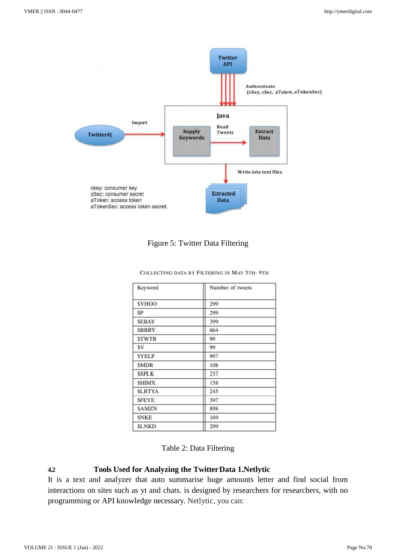

## Figure 5: Twitter Data Filtering

#### COLLECTING DATA BY FILTERING IN MAY 5TH-9TH

| Keyword       | Number of tweets |
|---------------|------------------|
| <b>SYHOO</b>  | 299              |
| \$P           | 299              |
| <b>SEBAY</b>  | 399              |
| <b>SBBRY</b>  | 664              |
| <b>STWTR</b>  | 99               |
| \$V.          | 99               |
| <b>SYELP</b>  | 997              |
| <b>SMDR</b>   | 108              |
| <b>SSPLK</b>  | 237              |
| <b>SHIMX</b>  | 158              |
| <b>SLBTYA</b> | 245              |
| <b>SFEYE</b>  | 397              |
| <b>SAMZN</b>  | 898              |
| <b>SNKE</b>   | 169              |
| <b>SLNKD</b>  | 299              |

### **4.2 Tools Used for Analyzing the TwitterData 1.Netlytic**

It is a text and analyzer that auto summarise huge amounts letter and find social from interactions on sites such as yt and chats. is designed by researchers for researchers, with no programming or API knowledge necessary. Netlytic, you can: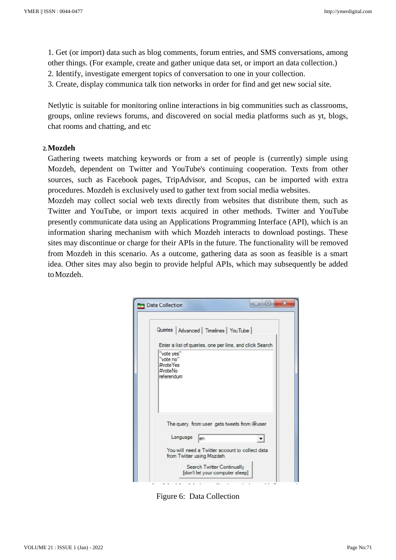1. Get (or import) data such as blog comments, forum entries, and SMS conversations, among other things. (For example, create and gather unique data set, or import an data collection.) 2. Identify, investigate emergent topics of conversation to one in your collection.

3. Create, display communica talk tion networks in order for find and get new social site.

Netlytic is suitable for monitoring online interactions in big communities such as classrooms, groups, online reviews forums, and discovered on social media platforms such as yt, blogs, chat rooms and chatting, and etc

#### **2.Mozdeh**

Gathering tweets matching keywords or from a set of people is (currently) simple using Mozdeh, dependent on Twitter and YouTube's continuing cooperation. Texts from other sources, such as Facebook pages, TripAdvisor, and Scopus, can be imported with extra procedures. Mozdeh is exclusively used to gather text from social media websites.

Mozdeh may collect social web texts directly from websites that distribute them, such as Twitter and YouTube, or import texts acquired in other methods. Twitter and YouTube presently communicate data using an Applications Programming Interface (API), which is an information sharing mechanism with which Mozdeh interacts to download postings. These sites may discontinue or charge for their APIs in the future. The functionality will be removed from Mozdeh in this scenario. As a outcome, gathering data as soon as feasible is a smart idea. Other sites may also begin to provide helpful APIs, which may subsequently be added toMozdeh.



Figure 6: Data Collection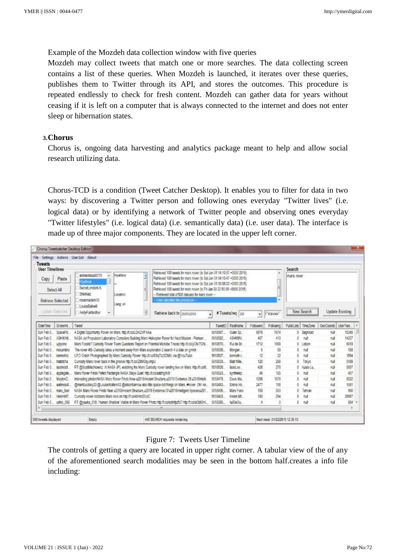Example of the Mozdeh data collection window with five queries

Mozdeh may collect tweets that match one or more searches. The data collecting screen contains a list of these queries. When Mozdeh is launched, it iterates over these queries, publishes them to Twitter through its API, and stores the outcomes. This procedure is repeated endlessly to check for fresh content. Mozdeh can gather data for years without ceasing if it is left on a computer that is always connected to the internet and does not enter sleep or hibernation states.

#### **3.Chorus**

Chorus is, ongoing data harvesting and analytics package meant to help and allow social research utilizing data.

Chorus-TCD is a condition (Tweet Catcher Desktop). It enables you to filter for data in two ways: by discovering a Twitter person and following ones everyday "Twitter lives" (i.e. logical data) or by identifying a network of Twitter people and observing ones everyday "Twitter lifestyles" (i.e. logical data) (i.e. semantically data) (i.e. user data). The interface is made up of three major components. They are located in the upper left corner.

| - Tweets                                        | File Settings Actions UserList About                                                                                                                                                                                                                                                                                                                                                                                                                                                                                |                            |                                                     |            |           |            |             |            |                 |          |  |
|-------------------------------------------------|---------------------------------------------------------------------------------------------------------------------------------------------------------------------------------------------------------------------------------------------------------------------------------------------------------------------------------------------------------------------------------------------------------------------------------------------------------------------------------------------------------------------|----------------------------|-----------------------------------------------------|------------|-----------|------------|-------------|------------|-----------------|----------|--|
| <b>User Timelines</b>                           |                                                                                                                                                                                                                                                                                                                                                                                                                                                                                                                     |                            | Search                                              |            |           |            |             |            |                 |          |  |
| Paste<br>Copy<br>Select All<br>Retneye Selected | Retrieved 100 tweets for mars rover (to Sat Jan 31 14:10:07 +0000 2015)<br>F<br>Hivallow<br>animectaku66776<br>Ratrieved 100 tweets for mars rover (to Sat Jan 31 04 10 47 +0000 2015).<br><b>IvaNow</b><br>Retrieved 100 tweets for mars rover (to Sat Jan 31 00:05:02 +0000 2015)<br>Secret ondonUK<br>Rehieved 100 tweets for mars rover (to Fri Jan 30 23 50 09 +0000 2015)<br>ShkiKeiz<br>- Retrieved total of 500 statuses for mars rover --<br>Location:<br>rosannariark13<br>User cancelled the procedure - |                            |                                                     | a          |           |            |             | mars rover |                 |          |  |
| <b>Bodate Selected</b>                          | Lang: en<br>LouiseRakwill<br>AndyFarbrother<br>n                                                                                                                                                                                                                                                                                                                                                                                                                                                                    | Retrieve back to son roots | #Tweets/req<br>1200<br>$\overline{\mathbf{r}}$<br>٠ |            |           | statutes") | New Search  |            | Update Existing |          |  |
| DateTime<br>ScreenN                             | Tweet                                                                                                                                                                                                                                                                                                                                                                                                                                                                                                               |                            | TaeetO                                              | RealVane   | Followers | Following  | PublicLists | TimeZone   | GeoCoords       | UserTwe. |  |
| SpaceFic.<br>Sun Feb 0.                         | A Digital Opportunity Flover on Mars, http://t.co/LGIKZVFXAw                                                                                                                                                                                                                                                                                                                                                                                                                                                        |                            | 5618597                                             | Outer Sp.  | 6976      | 7674       |             | 0 Baghdad  | nul             | 15345    |  |
| Sun Feb 0<br>ASHWINI                            | NASA Jet Propulsion Laboratory Considers Building Mars Halicopter Rover for Next Mission - Pioneer                                                                                                                                                                                                                                                                                                                                                                                                                  |                            |                                                     | ASHMINI.   | 457       | 413        |             | nd         | nd              | 14207    |  |
| Sun Feb 0<br>uglyone                            | Mars Fossis? Curiosity Rover Team Questions Report on Potential Microbe Traces http://t.co/yCN/TGN                                                                                                                                                                                                                                                                                                                                                                                                                  |                            |                                                     | Ful de Fir | 1712      | 1998       | 0           | 1 ishon    | na              | 5818     |  |
| Sun Feb 0<br>mosambro                           | The rover #BI-Cunosity takes a moment away from Mars exploration 2 search 4 a date on orindr.                                                                                                                                                                                                                                                                                                                                                                                                                       |                            |                                                     | Morgan     |           | 69         | Õ.          | nd         | rul             | 188      |  |
| Sun Feb 0<br>kennethol                          | UFO Crash Photographed By Mars Curiosity Rover: http://t.co/E6q7zzSDMU via @YouTube                                                                                                                                                                                                                                                                                                                                                                                                                                 |                            |                                                     | kenneth c. | 12        | 22         | 0           | hull       | <b>rule</b>     | 1554     |  |
| Sun Feb 0<br>matcicha                           | Curiosity Mars rover back in the groove http://t.co/28MGsy.impU                                                                                                                                                                                                                                                                                                                                                                                                                                                     |                            |                                                     | Mat Wile   | 120       | 298        | ō           | Tokyo      | nul             | 5189     |  |
| Sun Feb 0<br>iasishiddi                         | RT @ScotMechlowicz, At NASA JPL watching the Mars Curiosity rover landing live on Mars. http://t.co/6                                                                                                                                                                                                                                                                                                                                                                                                               |                            |                                                     | lasid ee   | 426       | 278        | O.          | Kuala Lu   | rul             | 9897     |  |
| Sun Feb 0.<br>applegate                         | Mars Rover Finds Petect Rectangle NASA Stays Quiet http://t.co/aatzhgiK3t                                                                                                                                                                                                                                                                                                                                                                                                                                           |                            |                                                     | synthelep. | an        | 185        | ō           | nut        | null            | 407      |  |
| Sun Feb 0<br><b>MaytonD</b>                     | Interesting photonNASA Mars Rover Finds New u2018Ancient Structure.u2019 Evidence Of u2018hteli                                                                                                                                                                                                                                                                                                                                                                                                                     |                            |                                                     | Daye Ma    | 1298      | 1976       | ñ           | nat        | tull            | 8932     |  |
| Sun Feb 0<br>watness4t                          | (Imarkbuckley23 @LouiseWaters12 @allsonbarrow also little space-bot things on Mars. #rover. Oh! An                                                                                                                                                                                                                                                                                                                                                                                                                  |                            |                                                     | Emma Ho    | 2477      | 185        | b           | 作成         | nat             | 1061     |  |
| Sun Feb 0<br>mars fash                          | NASA Mars Rover Finds New u2018Ancient Structure u2019 Evidence Of u2018Intelligent Speciesu201_                                                                                                                                                                                                                                                                                                                                                                                                                    |                            | 5618435<br>5618403                                  | Mars Fans  | 193       | 933        | Ď.          | Tehran     | nd              | 490      |  |
| Sun Feb 0<br>HelenM7                            | Curiosity rover clobbers Mars rock on http://t.co/4llHrzEUsC                                                                                                                                                                                                                                                                                                                                                                                                                                                        |                            |                                                     | Heien Mt.  | 180       | 294        | ō           | nat        | null            | 26667    |  |
| Sun Feb 0 ushio 590<br>$\epsilon$               | RT @yuuka_518: 'Human Shadow' Visible In Mars Rover Photo http://t.co/ezintpztU7 http://t.co/aGbtGrK                                                                                                                                                                                                                                                                                                                                                                                                                | m                          | 5618365                                             | lu00e3lu   |           |            | 0           | nat        | null            | 864      |  |

#### Figure 7: Tweets User Timeline

The controls of getting a query are located in upper right corner. A tabular view of the of any of the aforementioned search modalities may be seen in the bottom half.creates a info file including: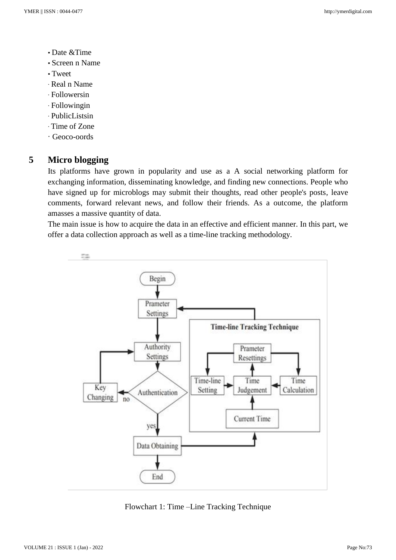- Date &Time
- Screen n Name
- Tweet
- ∙ Real n Name
- ∙ Followersin
- ∙ Followingin
- ∙ PublicListsin
- ∙ Time of Zone
- ∙ Geoco-oords

# **5 Micro blogging**

Its platforms have grown in popularity and use as a A social networking platform for exchanging information, disseminating knowledge, and finding new connections. People who have signed up for microblogs may submit their thoughts, read other people's posts, leave comments, forward relevant news, and follow their friends. As a outcome, the platform amasses a massive quantity of data.

The main issue is how to acquire the data in an effective and efficient manner. In this part, we offer a data collection approach as well as a time-line tracking methodology.



Flowchart 1: Time –Line Tracking Technique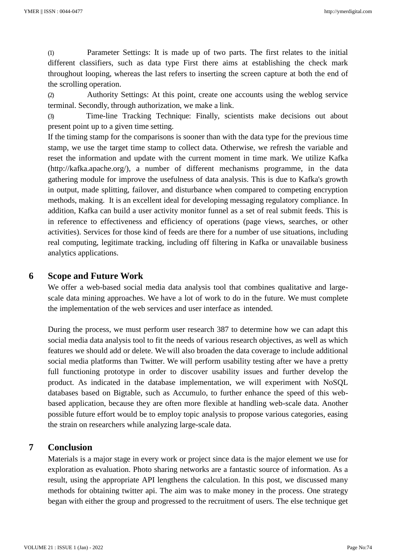(1) Parameter Settings: It is made up of two parts. The first relates to the initial different classifiers, such as data type First there aims at establishing the check mark throughout looping, whereas the last refers to inserting the screen capture at both the end of the scrolling operation.

(2) Authority Settings: At this point, create one accounts using the weblog service terminal. Secondly, through authorization, we make a link.

(3) Time-line Tracking Technique: Finally, scientists make decisions out about present point up to a given time setting.

If the timing stamp for the comparisons is sooner than with the data type for the previous time stamp, we use the target time stamp to collect data. Otherwise, we refresh the variable and reset the information and update with the current moment in time mark. We utilize Kafka [\(http://kafka.apache.org/\),](http://kafka.apache.org/)) a number of different mechanisms programme, in the data gathering module for improve the usefulness of data analysis. This is due to Kafka's growth in output, made splitting, failover, and disturbance when compared to competing encryption methods, making. It is an excellent ideal for developing messaging regulatory compliance. In addition, Kafka can build a user activity monitor funnel as a set of real submit feeds. This is in reference to effectiveness and efficiency of operations (page views, searches, or other activities). Services for those kind of feeds are there for a number of use situations, including real computing, legitimate tracking, including off filtering in Kafka or unavailable business analytics applications.

## **6 Scope and Future Work**

We offer a web-based social media data analysis tool that combines qualitative and largescale data mining approaches. We have a lot of work to do in the future. We must complete the implementation of the web services and user interface as intended.

During the process, we must perform user research 387 to determine how we can adapt this social media data analysis tool to fit the needs of various research objectives, as well as which features we should add or delete. We will also broaden the data coverage to include additional social media platforms than Twitter. We will perform usability testing after we have a pretty full functioning prototype in order to discover usability issues and further develop the product. As indicated in the database implementation, we will experiment with NoSQL databases based on Bigtable, such as Accumulo, to further enhance the speed of this webbased application, because they are often more flexible at handling web-scale data. Another possible future effort would be to employ topic analysis to propose various categories, easing the strain on researchers while analyzing large-scale data.

# **7 Conclusion**

Materials is a major stage in every work or project since data is the major element we use for exploration as evaluation. Photo sharing networks are a fantastic source of information. As a result, using the appropriate API lengthens the calculation. In this post, we discussed many methods for obtaining twitter api. The aim was to make money in the process. One strategy began with either the group and progressed to the recruitment of users. The else technique get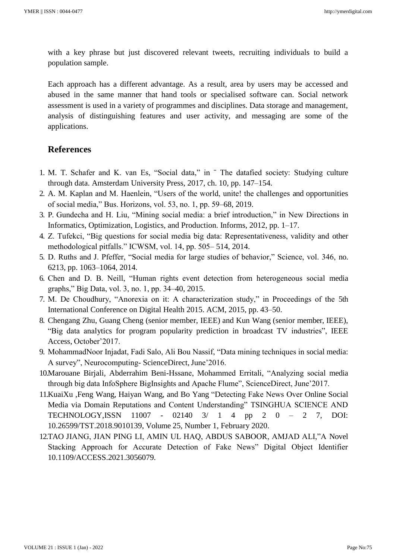with a key phrase but just discovered relevant tweets, recruiting individuals to build a population sample.

Each approach has a different advantage. As a result, area by users may be accessed and abused in the same manner that hand tools or specialised software can. Social network assessment is used in a variety of programmes and disciplines. Data storage and management, analysis of distinguishing features and user activity, and messaging are some of the applications.

### **References**

- 1. M. T. Schafer and K. van Es, "Social data," in ¨ The datafied society: Studying culture through data. Amsterdam University Press, 2017, ch. 10, pp. 147–154.
- 2. A. M. Kaplan and M. Haenlein, "Users of the world, unite! the challenges and opportunities of social media," Bus. Horizons, vol. 53, no. 1, pp. 59–68, 2019.
- 3. P. Gundecha and H. Liu, "Mining social media: a brief introduction," in New Directions in Informatics, Optimization, Logistics, and Production. Informs, 2012, pp. 1–17.
- 4. Z. Tufekci, "Big questions for social media big data: Representativeness, validity and other methodological pitfalls." ICWSM, vol. 14, pp. 505– 514, 2014.
- 5. D. Ruths and J. Pfeffer, "Social media for large studies of behavior," Science, vol. 346, no. 6213, pp. 1063–1064, 2014.
- 6. Chen and D. B. Neill, "Human rights event detection from heterogeneous social media graphs," Big Data, vol. 3, no. 1, pp. 34–40, 2015.
- 7. M. De Choudhury, "Anorexia on it: A characterization study," in Proceedings of the 5th International Conference on Digital Health 2015. ACM, 2015, pp. 43–50.
- 8. Chengang Zhu, Guang Cheng (senior member, IEEE) and Kun Wang (senior member, IEEE), "Big data analytics for program popularity prediction in broadcast TV industries", IEEE Access, October'2017.
- 9. MohammadNoor Injadat, Fadi Salo, Ali Bou Nassif, "Data mining techniques in social media: A survey", Neurocomputing-ScienceDirect, June'2016.
- 10.Marouane Birjali, Abderrahim Beni-Hssane, Mohammed Erritali, "Analyzing social media through big data InfoSphere BigInsights and Apache Flume", ScienceDirect, June'2017.
- 11.KuaiXu ,Feng Wang, Haiyan Wang, and Bo Yang "Detecting Fake News Over Online Social Media via Domain Reputations and Content Understanding" TSINGHUA SCIENCE AND TECHNOLOGY,ISSN 11007 - 02140 3/ 1 4 pp 2 0 – 2 7, DOI: 10.26599/TST.2018.9010139, Volume 25, Number 1, February 2020.
- 12.TAO JIANG, JIAN PING LI, AMIN UL HAQ, ABDUS SABOOR, AMJAD ALI,"A Novel Stacking Approach for Accurate Detection of Fake News" Digital Object Identifier 10.1109/ACCESS.2021.3056079.